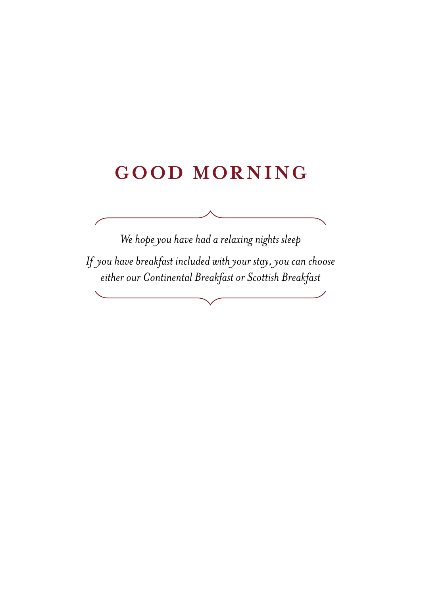# **GOOD MORNING**

*We hope you have had a relaxing nights sleep If you have breakfast included with your stay, you can choose either our Continental Breakfast or Scottish Breakfast*